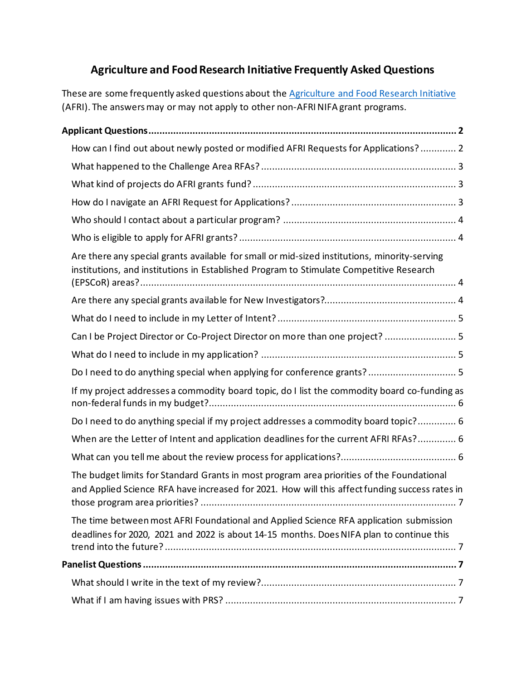# **Agriculture and Food Research Initiative Frequently Asked Questions**

These are some frequently asked questions about the [Agriculture and Food Research Initiative](https://nifa.usda.gov/program/agriculture-and-food-research-initiative-afri) (AFRI). The answers may or may not apply to other non-AFRI NIFA grant programs.

| How can I find out about newly posted or modified AFRI Requests for Applications?  2                                                                                                        |
|---------------------------------------------------------------------------------------------------------------------------------------------------------------------------------------------|
|                                                                                                                                                                                             |
|                                                                                                                                                                                             |
|                                                                                                                                                                                             |
|                                                                                                                                                                                             |
|                                                                                                                                                                                             |
| Are there any special grants available for small or mid-sized institutions, minority-serving<br>institutions, and institutions in Established Program to Stimulate Competitive Research     |
|                                                                                                                                                                                             |
|                                                                                                                                                                                             |
| Can I be Project Director or Co-Project Director on more than one project?  5                                                                                                               |
|                                                                                                                                                                                             |
| Do I need to do anything special when applying for conference grants? 5                                                                                                                     |
| If my project addresses a commodity board topic, do I list the commodity board co-funding as                                                                                                |
| Do I need to do anything special if my project addresses a commodity board topic? 6                                                                                                         |
| When are the Letter of Intent and application deadlines for the current AFRI RFAs? 6                                                                                                        |
|                                                                                                                                                                                             |
| The budget limits for Standard Grants in most program area priorities of the Foundational<br>and Applied Science RFA have increased for 2021. How will this affect funding success rates in |
| The time between most AFRI Foundational and Applied Science RFA application submission<br>deadlines for 2020, 2021 and 2022 is about 14-15 months. Does NIFA plan to continue this          |
|                                                                                                                                                                                             |
|                                                                                                                                                                                             |
|                                                                                                                                                                                             |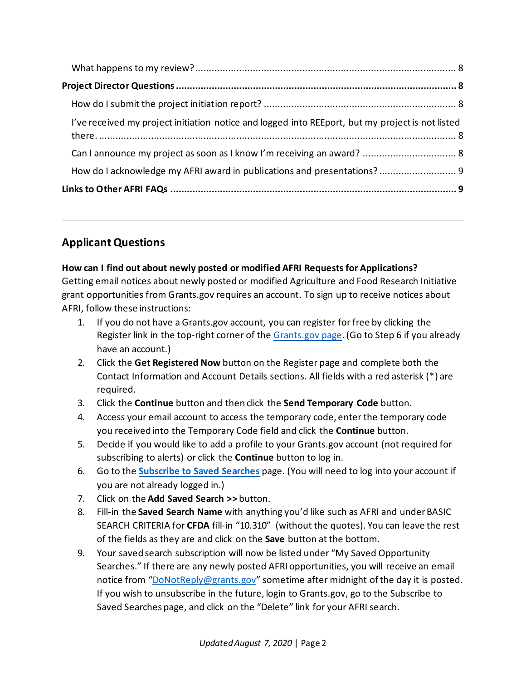| I've received my project initiation notice and logged into REEport, but my project is not listed |  |
|--------------------------------------------------------------------------------------------------|--|
|                                                                                                  |  |
| How do I acknowledge my AFRI award in publications and presentations? 9                          |  |
|                                                                                                  |  |

# <span id="page-1-0"></span>**ApplicantQuestions**

### <span id="page-1-1"></span>**How can I find out about newly posted or modified AFRI Requests for Applications?**

Getting email notices about newly posted or modified Agriculture and Food Research Initiative grant opportunities from Grants.gov requires an account. To sign up to receive notices about AFRI, follow these instructions:

- 1. If you do not have a Grants.gov account, you can register for free by clicking the Register link in the top-right corner of the [Grants.gov page.](https://www.grants.gov/) (Go to Step 6 if you already have an account.)
- 2. Click the **Get Registered Now** button on the Register page and complete both the Contact Information and Account Details sections. All fields with a red asterisk (\*) are required.
- 3. Click the **Continue** button and then click the **Send Temporary Code** button.
- 4. Access your email account to access the temporary code, enter the temporary code you received into the Temporary Code field and click the **Continue** button.
- 5. Decide if you would like to add a profile to your Grants.gov account (not required for subscribing to alerts) or click the **Continue** button to log in.
- 6. Go to the **[Subscribe to Saved Searches](https://apply07.grants.gov/apply/jsf/subscription/manageSavedSearch.faces?activityID=SubscribeSavedSearches&cleanSession=1)** page. (You will need to log into your account if you are not already logged in.)
- 7. Click on the **Add Saved Search >>** button.
- 8. Fill-in the **Saved Search Name** with anything you'd like such as AFRI and under BASIC SEARCH CRITERIA for **CFDA** fill-in "10.310" (without the quotes). You can leave the rest of the fields as they are and click on the **Save** button at the bottom.
- 9. Your saved search subscription will now be listed under "My Saved Opportunity Searches." If there are any newly posted AFRI opportunities, you will receive an email notice from ["DoNotReply@grants.gov"](mailto:DoNotReply@grants.gov) sometime after midnight of the day it is posted. If you wish to unsubscribe in the future, login to Grants.gov, go to the Subscribe to Saved Searches page, and click on the "Delete" link for your AFRI search.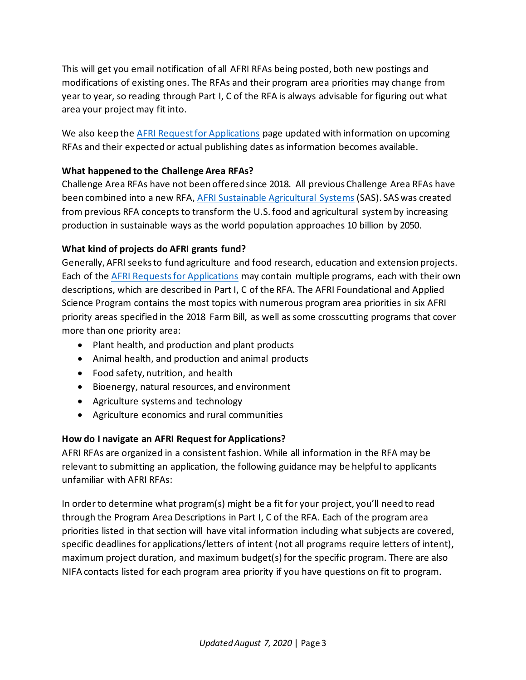This will get you email notification of all AFRI RFAs being posted, both new postings and modifications of existing ones. The RFAs and their program area priorities may change from year to year, so reading through Part I, C of the RFA is always advisable for figuring out what area your project may fit into.

We also keep the [AFRI Request for Applications](https://nifa.usda.gov/afri-request-applications) page updated with information on upcoming RFAs and their expected or actual publishing dates as information becomes available.

#### <span id="page-2-0"></span>**What happened to the Challenge Area RFAs?**

Challenge Area RFAs have not been offered since 2018. All previous Challenge Area RFAs have been combined into a new RFA[, AFRI Sustainable Agricultural Systems](https://nifa.usda.gov/program/afri-sas) (SAS). SAS was created from previous RFA concepts to transform the U.S. food and agricultural system by increasing production in sustainable ways as the world population approaches 10 billion by 2050.

#### <span id="page-2-1"></span>**What kind of projects do AFRI grants fund?**

Generally, AFRI seeks to fund agriculture and food research, education and extension projects. Each of the [AFRI Requests for Applications](http://nifa.usda.gov/afri-request-applications) may contain multiple programs, each with their own descriptions, which are described in Part I, C of the RFA. The AFRI Foundational and Applied Science Program contains the most topics with numerous program area priorities in six AFRI priority areas specified in the 2018 Farm Bill, as well as some crosscutting programs that cover more than one priority area:

- Plant health, and production and plant products
- Animal health, and production and animal products
- Food safety, nutrition, and health
- Bioenergy, natural resources, and environment
- Agriculture systems and technology
- Agriculture economics and rural communities

### <span id="page-2-2"></span>**How do I navigate an AFRI Request for Applications?**

AFRI RFAs are organized in a consistent fashion. While all information in the RFA may be relevant to submitting an application, the following guidance may be helpful to applicants unfamiliar with AFRI RFAs:

In order to determine what program(s) might be a fit for your project, you'll need to read through the Program Area Descriptions in Part I, C of the RFA. Each of the program area priorities listed in that section will have vital information including what subjects are covered, specific deadlines for applications/letters of intent (not all programs require letters of intent), maximum project duration, and maximum budget(s) for the specific program. There are also NIFA contacts listed for each program area priority if you have questions on fit to program.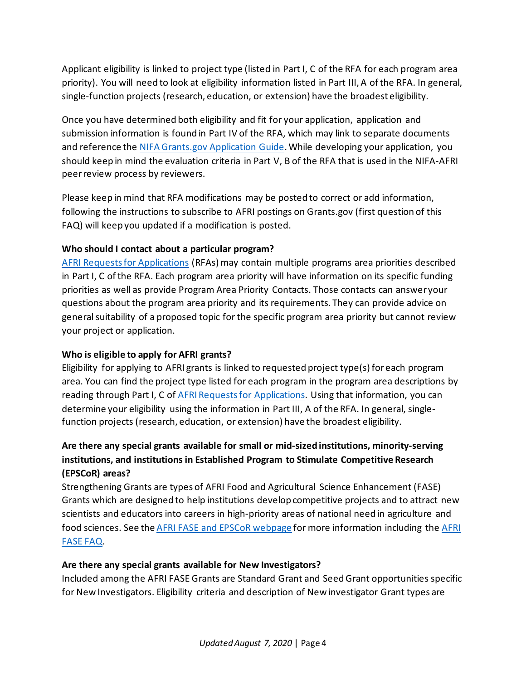Applicant eligibility is linked to project type (listed in Part I, C of the RFA for each program area priority). You will need to look at eligibility information listed in Part III, A of the RFA. In general, single-function projects (research, education, or extension) have the broadest eligibility.

Once you have determined both eligibility and fit for your application, application and submission information is found in Part IV of the RFA, which may link to separate documents and reference the [NIFA Grants.gov Application Guide.](https://nifa.usda.gov/resource/nifa-grantsgov-application-guide-location) While developing your application, you should keep in mind the evaluation criteria in Part V, B of the RFA that is used in the NIFA-AFRI peer review process by reviewers.

Please keep in mind that RFA modifications may be posted to correct or add information, following the instructions to subscribe to AFRI postings on Grants.gov (first question of this FAQ) will keep you updated if a modification is posted.

### <span id="page-3-0"></span>**Who should I contact about a particular program?**

[AFRI Requests for Applications](http://nifa.usda.gov/afri-request-applications) (RFAs) may contain multiple programs area priorities described in Part I, C of the RFA. Each program area priority will have information on its specific funding priorities as well as provide Program Area Priority Contacts. Those contacts can answer your questions about the program area priority and its requirements. They can provide advice on general suitability of a proposed topic for the specific program area priority but cannot review your project or application.

### <span id="page-3-1"></span>**Who is eligible to apply for AFRI grants?**

Eligibility for applying to AFRI grants is linked to requested project type(s) for each program area. You can find the project type listed for each program in the program area descriptions by reading through Part I, C of [AFRI Requests for Applications.](http://nifa.usda.gov/afri-request-applications) Using that information, you can determine your eligibility using the information in Part III, A of the RFA. In general, singlefunction projects (research, education, or extension) have the broadest eligibility.

## <span id="page-3-2"></span>**Are there any special grants available for small or mid-sized institutions, minority-serving institutions, and institutions in Established Program to Stimulate Competitive Research (EPSCoR) areas?**

Strengthening Grants are types of AFRI Food and Agricultural Science Enhancement (FASE) Grants which are designed to help institutions develop competitive projects and to attract new scientists and educators into careers in high-priority areas of national need in agriculture and food sciences. See the [AFRI FASE and EPSCoR webpage](https://nifa.usda.gov/afri-fase-epscor-program) for more information including the [AFRI](https://nifa.usda.gov/resource/afri-fase-faq)  [FASE FAQ.](https://nifa.usda.gov/resource/afri-fase-faq)

### <span id="page-3-3"></span>**Are there any special grants available for New Investigators?**

Included among the AFRI FASE Grants are Standard Grant and Seed Grant opportunities specific for New Investigators. Eligibility criteria and description of New investigator Grant types are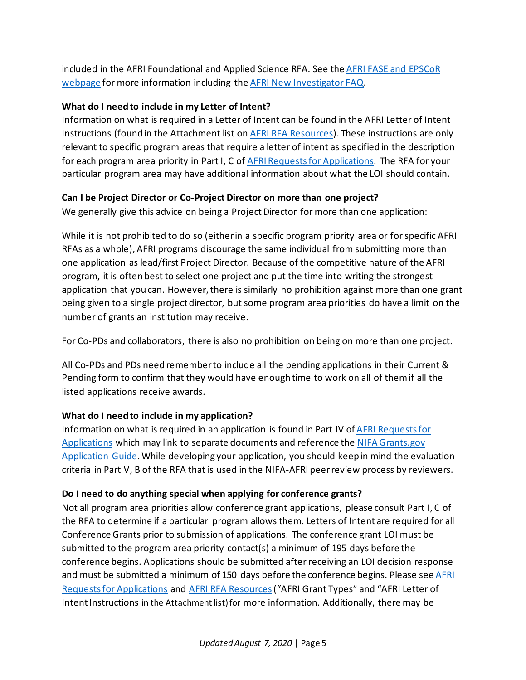included in the AFRI Foundational and Applied Science RFA. See th[e AFRI FASE and EPSCoR](https://nifa.usda.gov/afri-fase-epscor-program)  [webpage](https://nifa.usda.gov/afri-fase-epscor-program) for more information including th[e AFRI New Investigator FAQ.](https://nifa.usda.gov/resource/afri-fase-ni-faq)

#### <span id="page-4-0"></span>**What do I need to include in my Letter of Intent?**

Information on what is required in a Letter of Intent can be found in the AFRI Letter of Intent Instructions (found in the Attachment list on [AFRI RFA Resources\)](https://nifa.usda.gov/resource/afri-request-applications-resources). These instructions are only relevant to specific program areas that require a letter of intent as specified in the description for each program area priority in Part I, C o[f AFRI Requests for Applications.](http://nifa.usda.gov/afri-request-applications) The RFA for your particular program area may have additional information about what the LOI should contain.

### <span id="page-4-1"></span>**Can I be Project Director or Co-Project Director on more than one project?**

We generally give this advice on being a Project Director for more than one application:

While it is not prohibited to do so (either in a specific program priority area or for specific AFRI RFAs as a whole), AFRI programs discourage the same individual from submitting more than one application as lead/first Project Director. Because of the competitive nature of the AFRI program, it is often best to select one project and put the time into writing the strongest application that you can. However, there is similarly no prohibition against more than one grant being given to a single project director, but some program area priorities do have a limit on the number of grants an institution may receive.

For Co-PDs and collaborators, there is also no prohibition on being on more than one project.

All Co-PDs and PDs need remember to include all the pending applications in their Current & Pending form to confirm that they would have enough time to work on all of them if all the listed applications receive awards.

### <span id="page-4-2"></span>**What do I need to include in my application?**

Information on what is required in an application is found in Part IV o[f AFRI Requests for](http://nifa.usda.gov/afri-request-applications)  [Applications](http://nifa.usda.gov/afri-request-applications) which may link to separate documents and reference th[e NIFA Grants.gov](https://nifa.usda.gov/resource/nifa-grantsgov-application-guide-location)  [Application Guide.](https://nifa.usda.gov/resource/nifa-grantsgov-application-guide-location)While developing your application, you should keep in mind the evaluation criteria in Part V, B of the RFA that is used in the NIFA-AFRI peer review process by reviewers.

### <span id="page-4-3"></span>**Do I need to do anything special when applying for conference grants?**

Not all program area priorities allow conference grant applications, please consult Part I, C of the RFA to determine if a particular program allows them. Letters of Intent are required for all Conference Grants prior to submission of applications. The conference grant LOI must be submitted to the program area priority contact(s) a minimum of 195 days before the conference begins. Applications should be submitted after receiving an LOI decision response and must be submitted a minimum of 150 days before the conference begins. Please se[e AFRI](http://nifa.usda.gov/afri-request-applications)  [Requests for Applications](http://nifa.usda.gov/afri-request-applications) and [AFRI RFA Resources](https://nifa.usda.gov/resource/afri-request-applications-resources)("AFRI Grant Types" and "AFRI Letter of Intent Instructions in the Attachment list) for more information. Additionally, there may be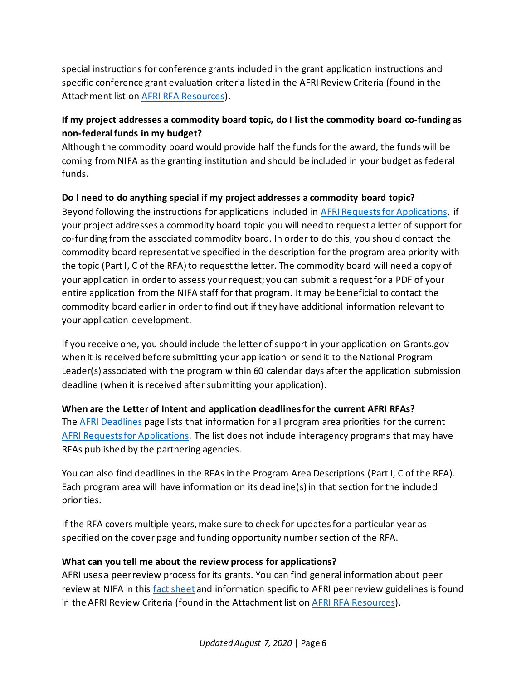special instructions for conference grants included in the grant application instructions and specific conference grant evaluation criteria listed in the AFRI Review Criteria (found in the Attachment list on [AFRI RFA Resources\)](https://nifa.usda.gov/resource/afri-request-applications-resources).

### <span id="page-5-0"></span>**If my project addresses a commodity board topic, do I list the commodity board co-funding as non-federal funds in my budget?**

Although the commodity board would provide half the funds for the award, the funds will be coming from NIFA as the granting institution and should be included in your budget as federal funds.

### <span id="page-5-1"></span>**Do I need to do anything special if my project addresses a commodity board topic?**

Beyond following the instructions for applications included in [AFRI Requests for Applications,](http://nifa.usda.gov/afri-request-applications) if your project addresses a commodity board topic you will need to request a letter of support for co-funding from the associated commodity board. In order to do this, you should contact the commodity board representative specified in the description for the program area priority with the topic (Part I, C of the RFA) to request the letter. The commodity board will need a copy of your application in order to assess your request; you can submit a request for a PDF of your entire application from the NIFA staff for that program. It may be beneficial to contact the commodity board earlier in order to find out if they have additional information relevant to your application development.

If you receive one, you should include the letter of support in your application on Grants.gov when it is received before submitting your application or send it to the National Program Leader(s) associated with the program within 60 calendar days after the application submission deadline (when it is received after submitting your application).

### <span id="page-5-2"></span>**When are the Letter of Intent and application deadlines for the current AFRI RFAs?**

The [AFRI Deadlines](https://nifa.usda.gov/afri-deadlines) page lists that information for all program area priorities for the current [AFRI Requests for Applications.](http://nifa.usda.gov/afri-request-applications) The list does not include interagency programs that may have RFAs published by the partnering agencies.

You can also find deadlines in the RFAs in the Program Area Descriptions (Part I, C of the RFA). Each program area will have information on its deadline(s) in that section for the included priorities.

If the RFA covers multiple years, make sure to check for updates for a particular year as specified on the cover page and funding opportunity number section of the RFA.

### <span id="page-5-3"></span>**What can you tell me about the review process for applications?**

AFRI uses a peer review process for its grants. You can find general information about peer review at NIFA in this [fact sheet](https://nifa.usda.gov/resource/nifa-peer-review-process-competitive-grant-applications) and information specific to AFRI peer review guidelines is found in the AFRI Review Criteria (found in the Attachment list on [AFRI RFA Resources\)](https://nifa.usda.gov/resource/afri-request-applications-resources).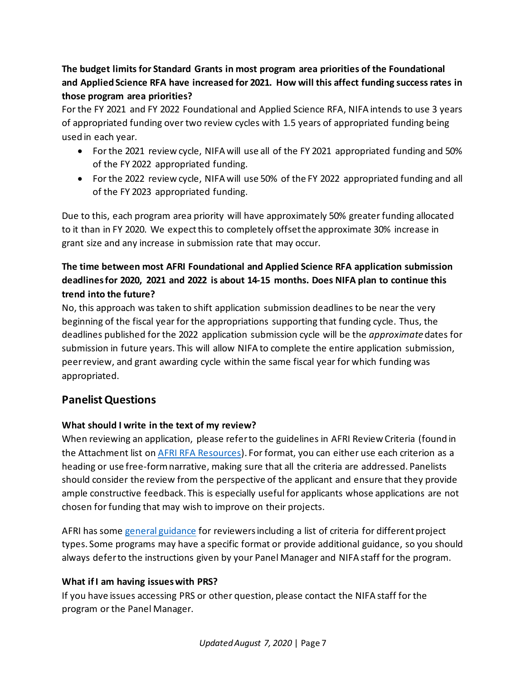# <span id="page-6-0"></span>**The budget limits for Standard Grants in most program area priorities of the Foundational and Applied Science RFA have increased for 2021. How will this affect funding success rates in those program area priorities?**

For the FY 2021 and FY 2022 Foundational and Applied Science RFA, NIFA intends to use 3 years of appropriated funding over two review cycles with 1.5 years of appropriated funding being used in each year.

- For the 2021 review cycle, NIFA will use all of the FY 2021 appropriated funding and 50% of the FY 2022 appropriated funding.
- For the 2022 review cycle, NIFA will use 50% of the FY 2022 appropriated funding and all of the FY 2023 appropriated funding.

Due to this, each program area priority will have approximately 50% greater funding allocated to it than in FY 2020. We expect this to completely offset the approximate 30% increase in grant size and any increase in submission rate that may occur.

# <span id="page-6-1"></span>**The time between most AFRI Foundational and Applied Science RFA application submission deadlines for 2020, 2021 and 2022 is about 14-15 months. Does NIFA plan to continue this trend into the future?**

No, this approach was taken to shift application submission deadlines to be near the very beginning of the fiscal year for the appropriations supporting that funding cycle. Thus, the deadlines published for the 2022 application submission cycle will be the *approximate*dates for submission in future years. This will allow NIFA to complete the entire application submission, peerreview, and grant awarding cycle within the same fiscal year for which funding was appropriated.

# <span id="page-6-2"></span>**PanelistQuestions**

### <span id="page-6-3"></span>**What should I write in the text of my review?**

When reviewing an application, please refer to the guidelines in AFRI Review Criteria (found in the Attachment list on [AFRI RFA Resources\)](https://nifa.usda.gov/resource/afri-request-applications-resources). For format, you can either use each criterion as a heading or use free-form narrative, making sure that all the criteria are addressed. Panelists should consider the review from the perspective of the applicant and ensure that they provide ample constructive feedback. This is especially useful for applicants whose applications are not chosen for funding that may wish to improve on their projects.

AFRI has some [general guidance](https://nifa.usda.gov/resource/guidance-afri-reviewers) for reviewers including a list of criteria for different project types. Some programs may have a specific format or provide additional guidance, so you should always defer to the instructions given by your Panel Manager and NIFA staff for the program.

### <span id="page-6-4"></span>**What if I am having issues with PRS?**

If you have issues accessing PRS or other question, please contact the NIFA staff for the program or the Panel Manager.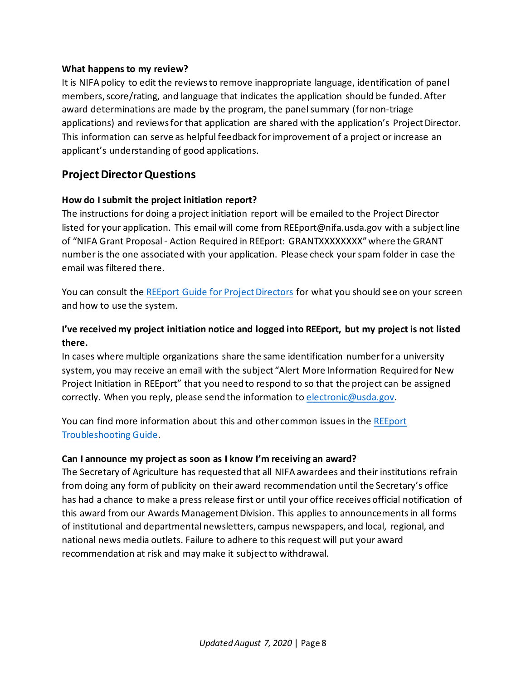#### <span id="page-7-0"></span>**What happens to my review?**

It is NIFA policy to edit the reviews to remove inappropriate language, identification of panel members, score/rating, and language that indicates the application should be funded. After award determinations are made by the program, the panel summary (for non-triage applications) and reviews for that application are shared with the application's Project Director. This information can serve as helpful feedback for improvement of a project or increase an applicant's understanding of good applications.

## <span id="page-7-1"></span>**Project DirectorQuestions**

#### <span id="page-7-2"></span>**How do I submit the project initiation report?**

The instructions for doing a project initiation report will be emailed to the Project Director listed for your application. This email will come from REEport@nifa.usda.gov with a subject line of "NIFA Grant Proposal - Action Required in REEport: GRANTXXXXXXXX" where the GRANT number is the one associated with your application. Please check your spam folder in case the email was filtered there.

You can consult the [REEport Guide for Project Directors](https://nifa.usda.gov/resource/reeport-guide-project-directors) for what you should see on your screen and how to use the system.

### <span id="page-7-3"></span>**I've received my project initiation notice and logged into REEport, but my project is not listed there.**

In cases where multiple organizations share the same identification numberfor a university system, you may receive an email with the subject "Alert More Information Required for New Project Initiation in REEport" that you need to respond to so that the project can be assigned correctly. When you reply, please send the information to [electronic@usda.gov.](mailto:electronic@usda.gov)

You can find more information about this and other common issues in the [REEport](https://nifa.usda.gov/resource/reeport-troubleshooting-guide)  [Troubleshooting Guide.](https://nifa.usda.gov/resource/reeport-troubleshooting-guide)

#### <span id="page-7-4"></span>**Can I announce my project as soon as I know I'm receiving an award?**

The Secretary of Agriculture has requested that all NIFA awardees and their institutions refrain from doing any form of publicity on their award recommendation until the Secretary's office has had a chance to make a press release first or until your office receives official notification of this award from our Awards Management Division. This applies to announcements in all forms of institutional and departmental newsletters, campus newspapers, and local, regional, and national news media outlets. Failure to adhere to this request will put your award recommendation at risk and may make it subject to withdrawal.